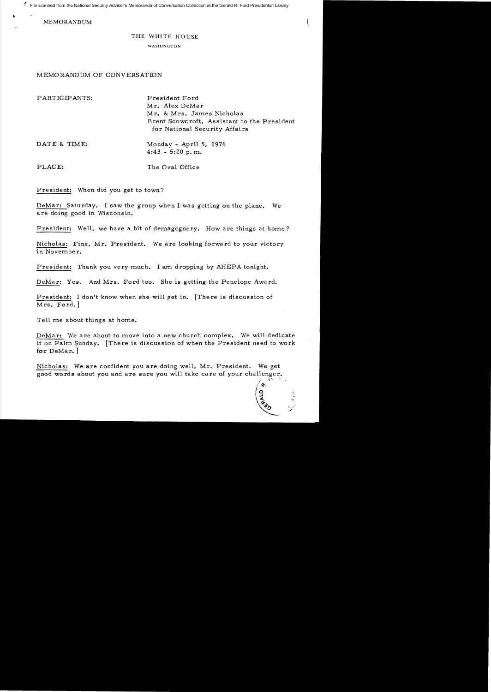File scanned from the National Security Adviser's Memoranda of Conversation Collection at the Gerald R. Ford Presidential Library

MEMORANDUM

## THE WHITE HOUSE

WASHINGTON

## MEMORANDUM OF CONVERSATION

| PARTICIPANTS: | President Ford<br>Mr. Alex DeMar<br>Mr. & Mrs. James Nicholas<br>Brent Scowcroft, Assistant to the President<br>for National Security Affairs |
|---------------|-----------------------------------------------------------------------------------------------------------------------------------------------|
| DATE & TIME:  | Monday - April 5, 1976<br>$4:43 - 5:20 p.m.$                                                                                                  |
| PLACE:        | The Oval Office                                                                                                                               |

President: When did you get to town?

DeMar: Saturday. 1 saw the group when I was getting on the plane. We are doing good in Wisconsin.

President: Well, we have a bit of demagoguery. How are things at home?

Nicholas: Fine, Mr. President. We are looking forward to your victory in November.

President: Thank you *very* much. 1 am dropping by AHEPA tonight.

DeMar: Yes. And Mrs. Ford too. She is getting the Penelope Award.

President: I don't know when she will get in. [There is discussion of Mrs. Ford.]

Tell me about things at home.

DeMar: We are about to *move* into a new church complex. We will dedicate it on Palm Sunday. [There is discussion of when the President used to work for DeMar. ]

Nicholas: We are confident you are doing well, Mr. President. We get good words about you and are sure you will take care of your challenger.

*It,t.*   $\frac{1}{2}$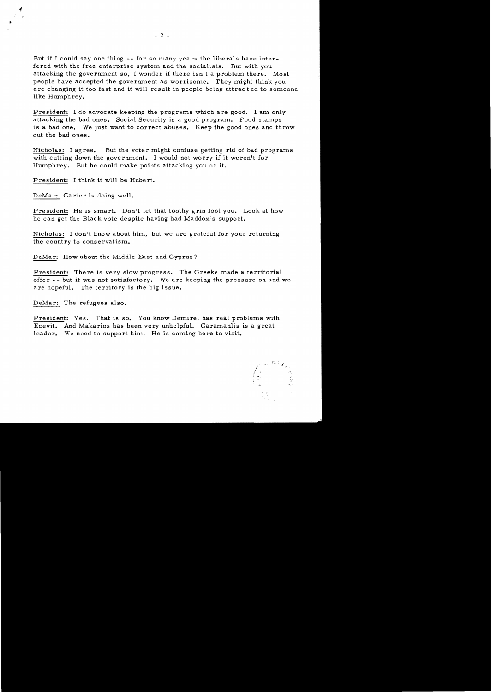But if I could *say* one thing -- for so many years the liberals have interfered with the free enterprise system and the socialists. But with you attacking the government so, I wonder if there isn't a problem there. Most people have accepted the government as worrisome. They might think you are changing it too fast and it will result in people being attrac t ed to someone like Humphrey.

President: I do advocate keeping the programs which are good. I am only attacking the bad ones. Social Security is a good program. Food stamps is a bad one. We just want to correct abuses. Keep the good ones and throw out the bad ones.

Nicholas: I agree. But the voter might confuse getting rid of bad programs with cutting down the government. I would not worry if it weren't for Humphrey. But he could make points attacking you or it.

President: I think it will be Hube rt.

DeMar: Carter is doing well.

President: He is smart. Don't let that *toothy* grin fool you. Look at how he can get the Black vote despite having had Maddox's support.

Nicholas: I don't know about him, but we are grateful for your returning the country to conse rvatism.

DeMar: How about the Middle East and Cyprus?

President: There is very slow progress. The Greeks made a territorial offer -- but it was not satisfactory. We are keeping the pressure on and we are hopeful. The territory is the big issue.

DeMar: The refugees also.

President: Yes. That is so. You know Demirel has real problems with *Ecevit.* And Makarios has been very unhelpful. Caramanlis is a great leader. We need to support him. He is coming here to visit.

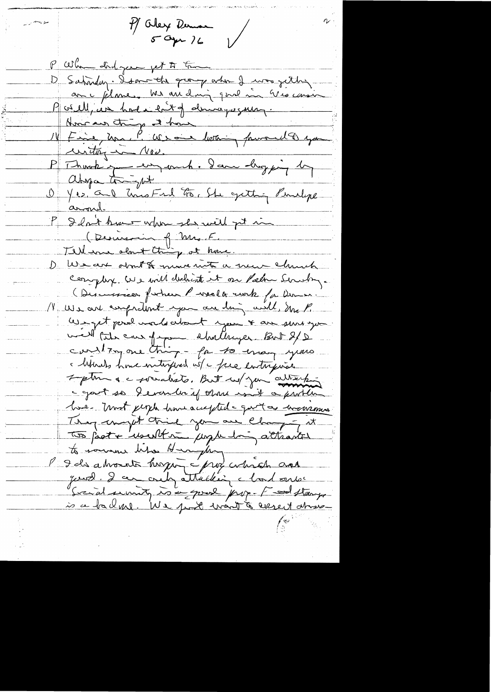P/ Oley Deman P When did your get to the D'Satisfay. Donne the group when I was jetter avec filme. Me avidning quel in Viocanie Parell, un hour entg demayorseur 14 Fine, ma, P. We and betting forward to you writing in Nov. P Ihark you en auch. Dann chog juin 1 Ohya tright<br>U Yes, and this Fird too. She gitting Philips aroul. P I don't know when they will get in (Dernesin of Mr. F. Tellene about thing at home. De Wear don't & mure met a new church complex. We will district it on Palm Sirchy. Discussion putien Purselle runk for Derne. 11 We are compretent you are thing will, Sure P. We get produce le clant you & are surveyor. ville tale en figure chathager But 8/2 Mirals home interprent us a face entreprise I plus a c socialists. But us you allisabe c gout so devanter if there is it a problem hove - most people home accepted - quot as encorrement They compt think you are changing it To fact + "usubtime jungle him attendante to somme lite Hanghay guesd. La coupattablien chardonne Secral survity is a good prop-F and stays is a balme. We just want to execut atrave-